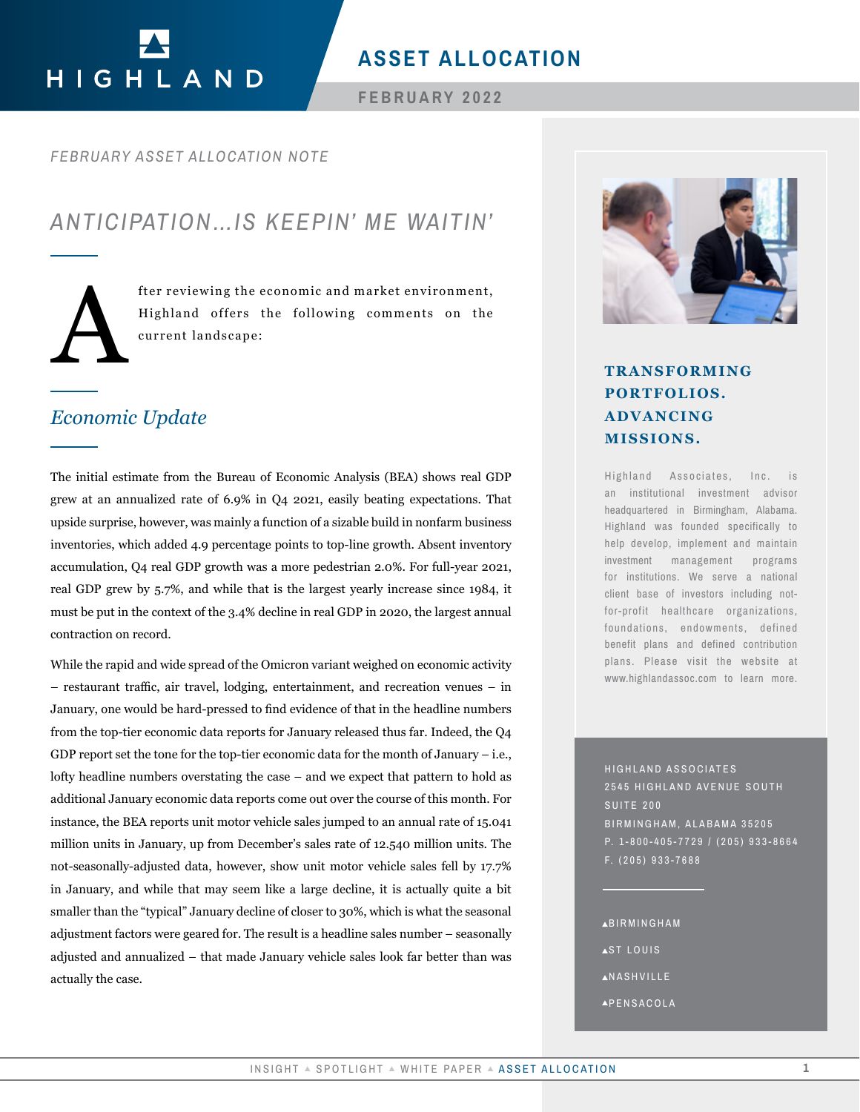# HIGHLAND

# **ASSET ALLOCATION**

## **FEBRUARY 2022**

## *FEBRUARY ASSET ALLOCATION NOTE*

# *ANTICIPATION…IS KEEPIN' ME WAITIN'*

fter reviewing the economic and market environment,<br>Highland offers the following comments on the<br>current landscape: Highland offers the following comments on the current landscape:

# *Economic Update*

The initial estimate from the Bureau of Economic Analysis (BEA) shows real GDP grew at an annualized rate of 6.9% in Q4 2021, easily beating expectations. That upside surprise, however, was mainly a function of a sizable build in nonfarm business inventories, which added 4.9 percentage points to top-line growth. Absent inventory accumulation, Q4 real GDP growth was a more pedestrian 2.0%. For full-year 2021, real GDP grew by 5.7%, and while that is the largest yearly increase since 1984, it must be put in the context of the 3.4% decline in real GDP in 2020, the largest annual contraction on record.

While the rapid and wide spread of the Omicron variant weighed on economic activity – restaurant traffic, air travel, lodging, entertainment, and recreation venues – in January, one would be hard-pressed to find evidence of that in the headline numbers from the top-tier economic data reports for January released thus far. Indeed, the Q4 GDP report set the tone for the top-tier economic data for the month of January – i.e., lofty headline numbers overstating the case – and we expect that pattern to hold as additional January economic data reports come out over the course of this month. For instance, the BEA reports unit motor vehicle sales jumped to an annual rate of 15.041 million units in January, up from December's sales rate of 12.540 million units. The not-seasonally-adjusted data, however, show unit motor vehicle sales fell by 17.7% in January, and while that may seem like a large decline, it is actually quite a bit smaller than the "typical" January decline of closer to 30%, which is what the seasonal adjustment factors were geared for. The result is a headline sales number – seasonally adjusted and annualized – that made January vehicle sales look far better than was actually the case. **TRANSFORMING**<br> **PORTOLIOS.**<br> **ADVANCITNG**<br> **INSIGNATION CONTROLLY ADVANCITING**<br> **INSIGNATION CONTROLLY ADVANCITING**<br> **ISSUE ALLOCATION**<br> **ISSUE ALLOCATION**<br> **ISSUE ALLOCATION**<br> **ISSUE ALLOCATION**<br> **INSIGNATION**<br> **INSIGNA** 



# **PORTFOLIOS. ADVANCING MISSIONS.**

Highland Associates, Inc. is an institutional investment advisor headquartered in Birmingham, Alabama. Highland was founded specifically to help develop, implement and maintain investment management programs for institutions. We serve a national client base of investors including notfor-profit healthcare organizations, foundations, endowments, defined benefit plans and defined contribution plans. Please visit the website at www.highlandassoc.com to learn more.

HIGHLAND ASSOCIATES 2545 HIGHLAND AVENUE SOUTH SUITE 200 BIRMINGHAM, ALABAMA 35205 P. 1-800-405-7729 / (205) 933-8664 F. (205) 933-7688

BIRMINGHAM

- **AST LOUIS**
- **ANASHVILLE**
- PENSACOLA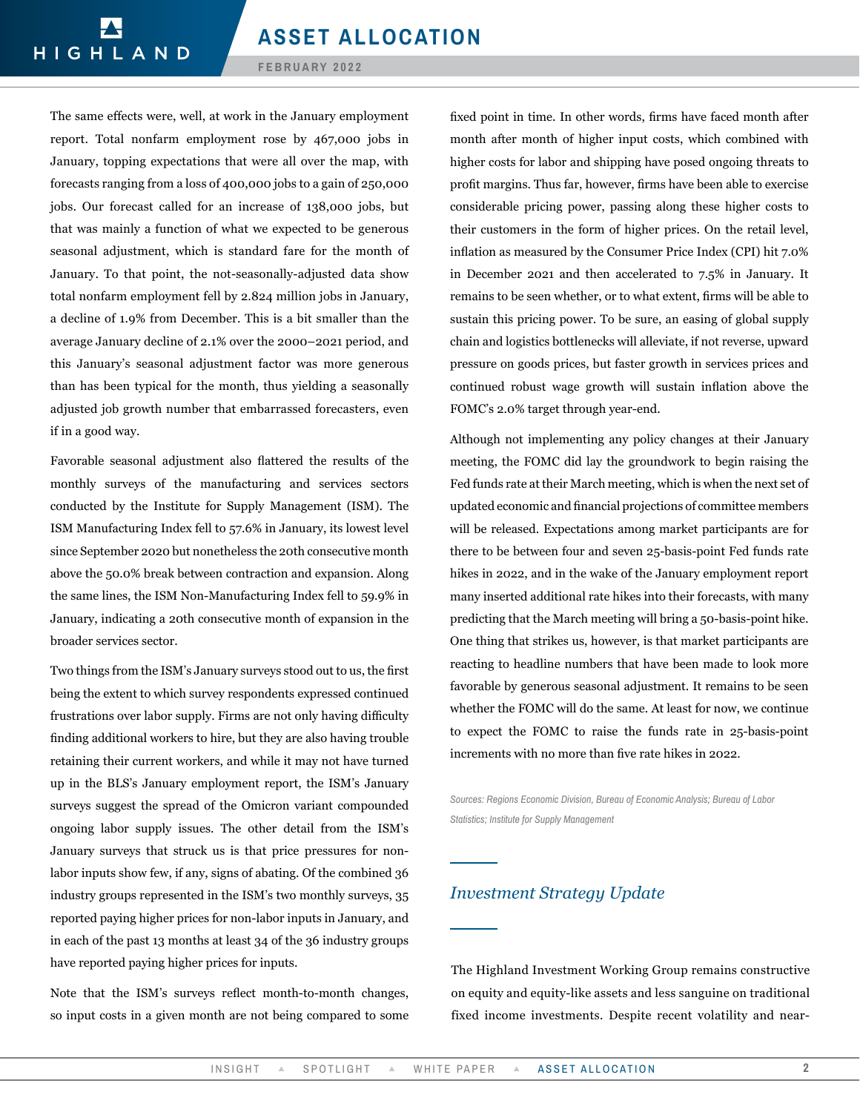The same effects were, well, at work in the January employment report. Total nonfarm employment rose by 467,000 jobs in January, topping expectations that were all over the map, with forecasts ranging from a loss of 400,000 jobs to a gain of 250,000 jobs. Our forecast called for an increase of 138,000 jobs, but that was mainly a function of what we expected to be generous seasonal adjustment, which is standard fare for the month of January. To that point, the not-seasonally-adjusted data show total nonfarm employment fell by 2.824 million jobs in January, a decline of 1.9% from December. This is a bit smaller than the average January decline of 2.1% over the 2000–2021 period, and this January's seasonal adjustment factor was more generous than has been typical for the month, thus yielding a seasonally adjusted job growth number that embarrassed forecasters, even if in a good way.

Favorable seasonal adjustment also flattered the results of the monthly surveys of the manufacturing and services sectors conducted by the Institute for Supply Management (ISM). The ISM Manufacturing Index fell to 57.6% in January, its lowest level since September 2020 but nonetheless the 20th consecutive month above the 50.0% break between contraction and expansion. Along the same lines, the ISM Non-Manufacturing Index fell to 59.9% in January, indicating a 20th consecutive month of expansion in the broader services sector.

Two things from the ISM's January surveys stood out to us, the first being the extent to which survey respondents expressed continued frustrations over labor supply. Firms are not only having difficulty finding additional workers to hire, but they are also having trouble retaining their current workers, and while it may not have turned up in the BLS's January employment report, the ISM's January surveys suggest the spread of the Omicron variant compounded ongoing labor supply issues. The other detail from the ISM's January surveys that struck us is that price pressures for nonlabor inputs show few, if any, signs of abating. Of the combined 36 industry groups represented in the ISM's two monthly surveys, 35 reported paying higher prices for non-labor inputs in January, and in each of the past 13 months at least 34 of the 36 industry groups have reported paying higher prices for inputs.

Note that the ISM's surveys reflect month-to-month changes, so input costs in a given month are not being compared to some fixed point in time. In other words, firms have faced month after month after month of higher input costs, which combined with higher costs for labor and shipping have posed ongoing threats to profit margins. Thus far, however, firms have been able to exercise considerable pricing power, passing along these higher costs to their customers in the form of higher prices. On the retail level, inflation as measured by the Consumer Price Index (CPI) hit 7.0% in December 2021 and then accelerated to 7.5% in January. It remains to be seen whether, or to what extent, firms will be able to sustain this pricing power. To be sure, an easing of global supply chain and logistics bottlenecks will alleviate, if not reverse, upward pressure on goods prices, but faster growth in services prices and continued robust wage growth will sustain inflation above the FOMC's 2.0% target through year-end.

Although not implementing any policy changes at their January meeting, the FOMC did lay the groundwork to begin raising the Fed funds rate at their March meeting, which is when the next set of updated economic and financial projections of committee members will be released. Expectations among market participants are for there to be between four and seven 25-basis-point Fed funds rate hikes in 2022, and in the wake of the January employment report many inserted additional rate hikes into their forecasts, with many predicting that the March meeting will bring a 50-basis-point hike. One thing that strikes us, however, is that market participants are reacting to headline numbers that have been made to look more favorable by generous seasonal adjustment. It remains to be seen whether the FOMC will do the same. At least for now, we continue to expect the FOMC to raise the funds rate in 25-basis-point increments with no more than five rate hikes in 2022.

*Sources: Regions Economic Division, Bureau of Economic Analysis; Bureau of Labor Statistics; Institute for Supply Management* 

## *Investment Strategy Update*

The Highland Investment Working Group remains constructive on equity and equity-like assets and less sanguine on traditional fixed income investments. Despite recent volatility and near-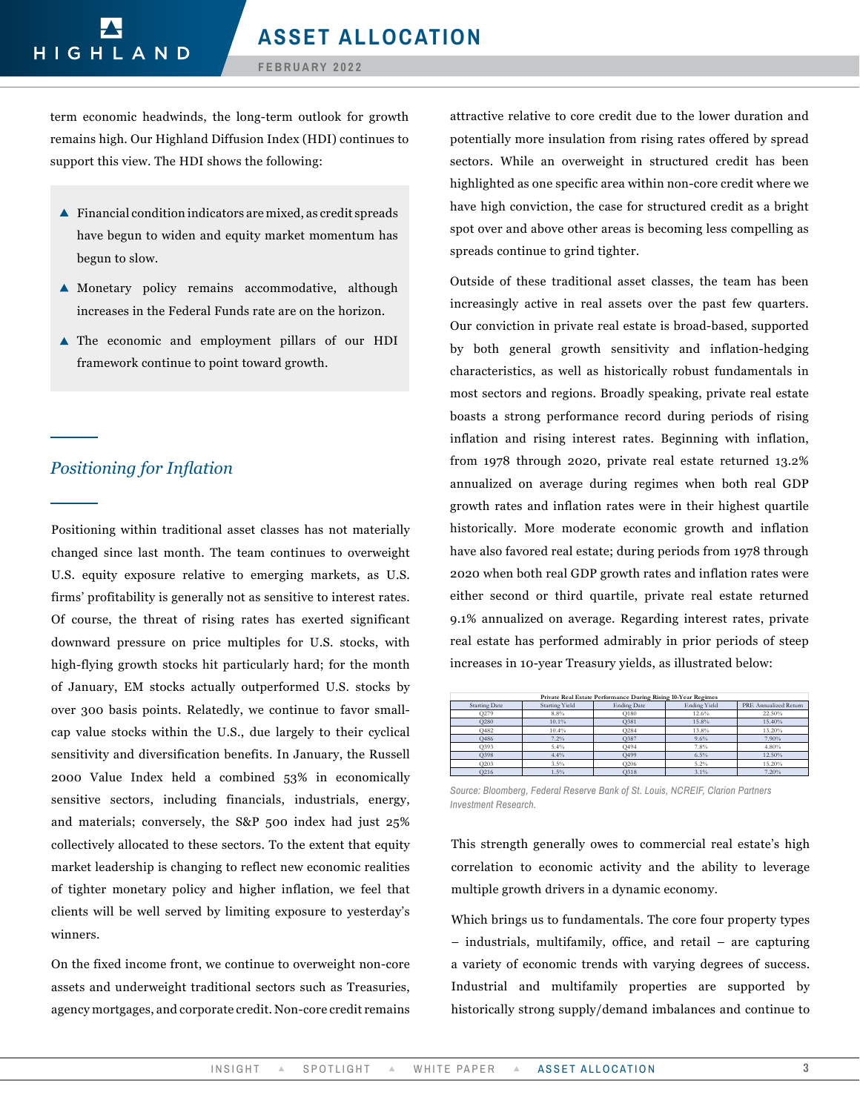term economic headwinds, the long-term outlook for growth remains high. Our Highland Diffusion Index (HDI) continues to support this view. The HDI shows the following:

- $\blacktriangle$  Financial condition indicators are mixed, as credit spreads have begun to widen and equity market momentum has begun to slow.
- Monetary policy remains accommodative, although increases in the Federal Funds rate are on the horizon.
- The economic and employment pillars of our HDI framework continue to point toward growth.

# *Positioning for Inflation*

Positioning within traditional asset classes has not materially changed since last month. The team continues to overweight U.S. equity exposure relative to emerging markets, as U.S. firms' profitability is generally not as sensitive to interest rates. Of course, the threat of rising rates has exerted significant downward pressure on price multiples for U.S. stocks, with high-flying growth stocks hit particularly hard; for the month of January, EM stocks actually outperformed U.S. stocks by over 300 basis points. Relatedly, we continue to favor smallcap value stocks within the U.S., due largely to their cyclical sensitivity and diversification benefits. In January, the Russell 2000 Value Index held a combined 53% in economically sensitive sectors, including financials, industrials, energy, and materials; conversely, the S&P 500 index had just 25% collectively allocated to these sectors. To the extent that equity market leadership is changing to reflect new economic realities of tighter monetary policy and higher inflation, we feel that clients will be well served by limiting exposure to yesterday's winners.

On the fixed income front, we continue to overweight non-core assets and underweight traditional sectors such as Treasuries, agency mortgages, and corporate credit. Non-core credit remains attractive relative to core credit due to the lower duration and potentially more insulation from rising rates offered by spread sectors. While an overweight in structured credit has been highlighted as one specific area within non-core credit where we have high conviction, the case for structured credit as a bright spot over and above other areas is becoming less compelling as spreads continue to grind tighter.

Outside of these traditional asset classes, the team has been increasingly active in real assets over the past few quarters. Our conviction in private real estate is broad-based, supported by both general growth sensitivity and inflation-hedging characteristics, as well as historically robust fundamentals in most sectors and regions. Broadly speaking, private real estate boasts a strong performance record during periods of rising inflation and rising interest rates. Beginning with inflation, from 1978 through 2020, private real estate returned 13.2% annualized on average during regimes when both real GDP growth rates and inflation rates were in their highest quartile historically. More moderate economic growth and inflation have also favored real estate; during periods from 1978 through 2020 when both real GDP growth rates and inflation rates were either second or third quartile, private real estate returned 9.1% annualized on average. Regarding interest rates, private real estate has performed admirably in prior periods of steep increases in 10-year Treasury yields, as illustrated below:

| Private Real Estate Performance During Rising 10-Year Regimes |                       |                    |                     |                       |  |  |  |  |
|---------------------------------------------------------------|-----------------------|--------------------|---------------------|-----------------------|--|--|--|--|
| <b>Starting Date</b>                                          | <b>Starting Yield</b> | <b>Ending Date</b> | <b>Ending Yield</b> | PRE Annualized Return |  |  |  |  |
| O279                                                          | 8.8%                  | O180               | 12.6%               | 22.50%                |  |  |  |  |
| Q280                                                          | 10.1%                 | Q381               | 15.8%               | 15.40%                |  |  |  |  |
| Q482                                                          | 10.4%                 | O284               | 13.8%               | 13.20%                |  |  |  |  |
| Q486                                                          | 7.2%                  | Q387               | 9.6%                | 7.90%                 |  |  |  |  |
| Q393                                                          | 5.4%                  | Q494               | 7.8%                | 4.80%                 |  |  |  |  |
| Q398                                                          | 4.4%                  | Q499               | 6.5%                | 12.50%                |  |  |  |  |
| O203                                                          | 3.5%                  | Q206               | 5.2%                | 15.20%                |  |  |  |  |
| Q216                                                          | 1.5%                  | Q318               | 3.1%                | 7.20%                 |  |  |  |  |

*Source: Bloomberg, Federal Reserve Bank of St. Louis, NCREIF, Clarion Partners Investment Research.*

This strength generally owes to commercial real estate's high correlation to economic activity and the ability to leverage multiple growth drivers in a dynamic economy.

Which brings us to fundamentals. The core four property types – industrials, multifamily, office, and retail – are capturing a variety of economic trends with varying degrees of success. Industrial and multifamily properties are supported by historically strong supply/demand imbalances and continue to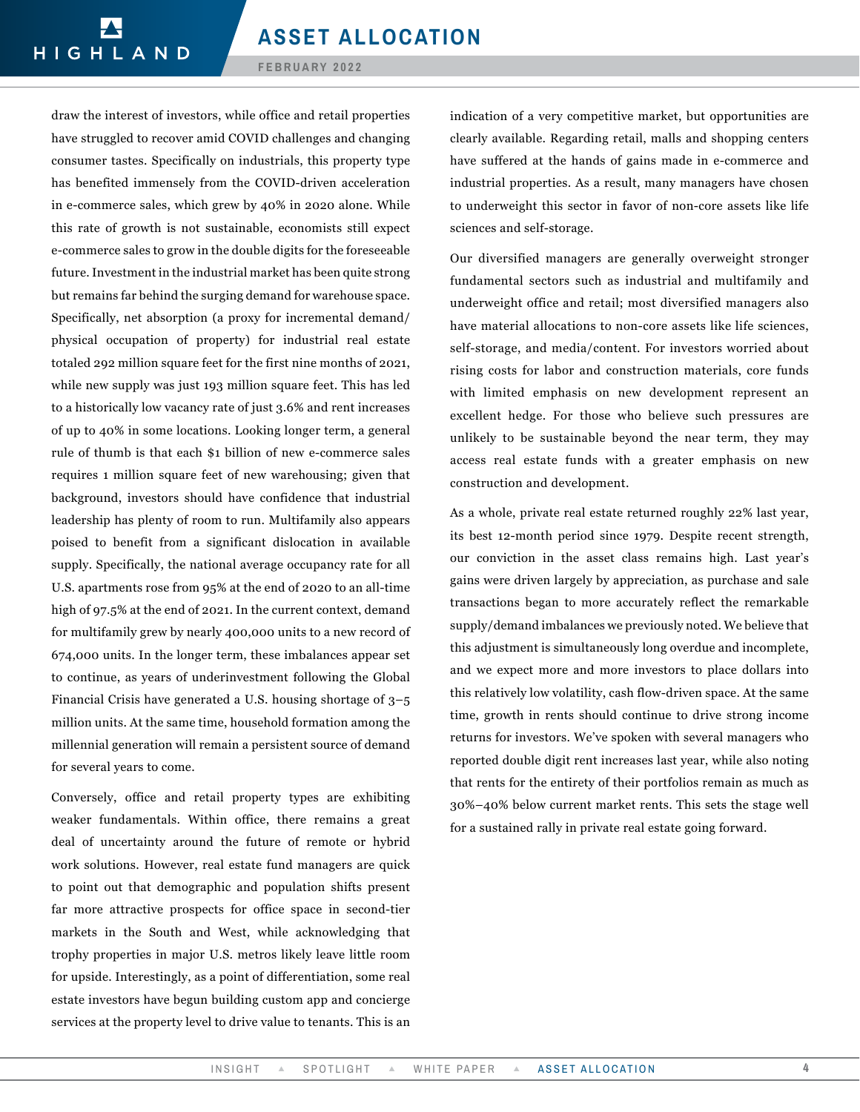draw the interest of investors, while office and retail properties have struggled to recover amid COVID challenges and changing consumer tastes. Specifically on industrials, this property type has benefited immensely from the COVID-driven acceleration in e-commerce sales, which grew by 40% in 2020 alone. While this rate of growth is not sustainable, economists still expect e-commerce sales to grow in the double digits for the foreseeable future. Investment in the industrial market has been quite strong but remains far behind the surging demand for warehouse space. Specifically, net absorption (a proxy for incremental demand/ physical occupation of property) for industrial real estate totaled 292 million square feet for the first nine months of 2021, while new supply was just 193 million square feet. This has led to a historically low vacancy rate of just 3.6% and rent increases of up to 40% in some locations. Looking longer term, a general rule of thumb is that each \$1 billion of new e-commerce sales requires 1 million square feet of new warehousing; given that background, investors should have confidence that industrial leadership has plenty of room to run. Multifamily also appears poised to benefit from a significant dislocation in available supply. Specifically, the national average occupancy rate for all U.S. apartments rose from 95% at the end of 2020 to an all-time high of 97.5% at the end of 2021. In the current context, demand for multifamily grew by nearly 400,000 units to a new record of 674,000 units. In the longer term, these imbalances appear set to continue, as years of underinvestment following the Global Financial Crisis have generated a U.S. housing shortage of 3–5 million units. At the same time, household formation among the millennial generation will remain a persistent source of demand for several years to come.

Conversely, office and retail property types are exhibiting weaker fundamentals. Within office, there remains a great deal of uncertainty around the future of remote or hybrid work solutions. However, real estate fund managers are quick to point out that demographic and population shifts present far more attractive prospects for office space in second-tier markets in the South and West, while acknowledging that trophy properties in major U.S. metros likely leave little room for upside. Interestingly, as a point of differentiation, some real estate investors have begun building custom app and concierge services at the property level to drive value to tenants. This is an

indication of a very competitive market, but opportunities are clearly available. Regarding retail, malls and shopping centers have suffered at the hands of gains made in e-commerce and industrial properties. As a result, many managers have chosen to underweight this sector in favor of non-core assets like life sciences and self-storage.

Our diversified managers are generally overweight stronger fundamental sectors such as industrial and multifamily and underweight office and retail; most diversified managers also have material allocations to non-core assets like life sciences, self-storage, and media/content. For investors worried about rising costs for labor and construction materials, core funds with limited emphasis on new development represent an excellent hedge. For those who believe such pressures are unlikely to be sustainable beyond the near term, they may access real estate funds with a greater emphasis on new construction and development.

As a whole, private real estate returned roughly 22% last year, its best 12-month period since 1979. Despite recent strength, our conviction in the asset class remains high. Last year's gains were driven largely by appreciation, as purchase and sale transactions began to more accurately reflect the remarkable supply/demand imbalances we previously noted. We believe that this adjustment is simultaneously long overdue and incomplete, and we expect more and more investors to place dollars into this relatively low volatility, cash flow-driven space. At the same time, growth in rents should continue to drive strong income returns for investors. We've spoken with several managers who reported double digit rent increases last year, while also noting that rents for the entirety of their portfolios remain as much as 30%–40% below current market rents. This sets the stage well for a sustained rally in private real estate going forward.